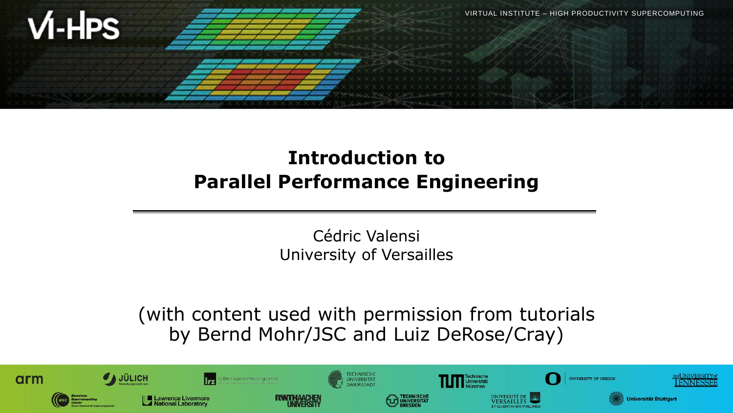

## **Introduction to Parallel Performance Engineering**

Cédric Valensi University of Versailles

(with content used with permission from tutorials by Bernd Mohr/JSC and Luiz DeRose/Cray)

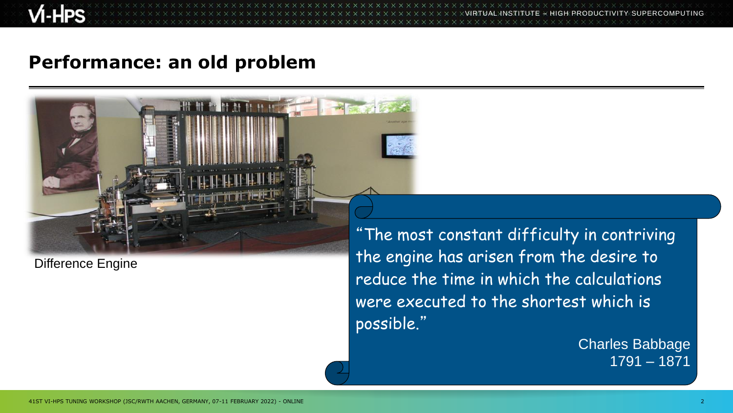$\times$   $\times$   $\times$   $\times$   $\times$  WRTUAL INSTITUTE  $\times$  HIGH PRODUCTIVITY SUPERCOMPUTING

#### **Performance: an old problem**



Difference Engine

"The most constant difficulty in contriving the engine has arisen from the desire to reduce the time in which the calculations were executed to the shortest which is possible."

> Charles Babbage 1791 – 1871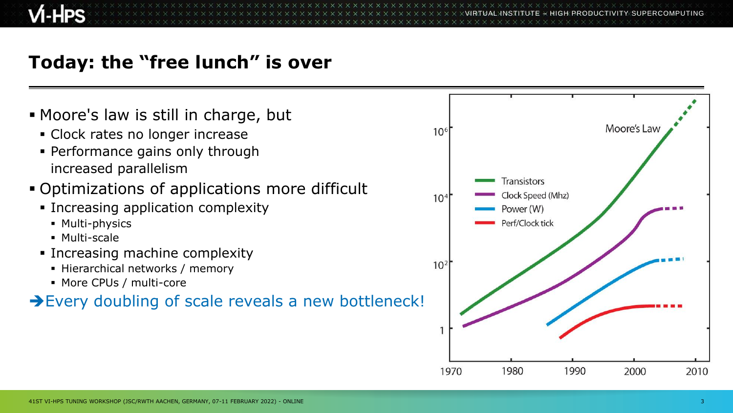$\times$   $\times$ VIRTUAL $\times$ INGE $\times$  HIGH PRODUCTIVITY SUPERCOMPUTING

### **Today: the "free lunch" is over**

**E** Moore's law is still in charge, but Moore's Law  $10<sup>6</sup>$ ▪ Clock rates no longer increase ▪ Performance gains only through increased parallelism **Transistors** ▪ Optimizations of applications more difficult Clock Speed (Mhz)  $10<sup>4</sup>$ **EXECUTE:** Increasing application complexity Power (W) ■ Multi-physics Perf/Clock tick ■ Multi-scale **EXEC** Increasing machine complexity  $10<sup>2</sup>$ **EXECUTE: Hierarchical networks / memory** ■ More CPUs / multi-core **→Every doubling of scale reveals a new bottleneck!** 1980 1990 1970 2000 2010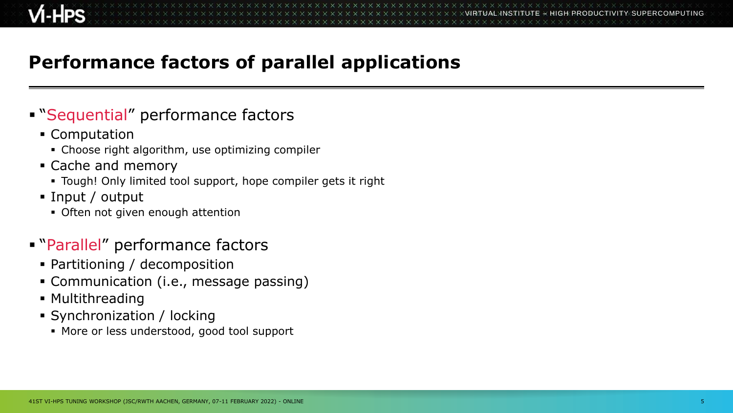## **Performance factors of parallel applications**

#### **Example 1 Sequential" performance factors**

- Computation
	- Choose right algorithm, use optimizing compiler
- Cache and memory
	- Tough! Only limited tool support, hope compiler gets it right
- Input / output
	- **Often not given enough attention**

#### ▪ "Parallel" performance factors

- Partitioning / decomposition
- Communication (i.e., message passing)
- **Multithreading**
- Synchronization / locking
	- More or less understood, good tool support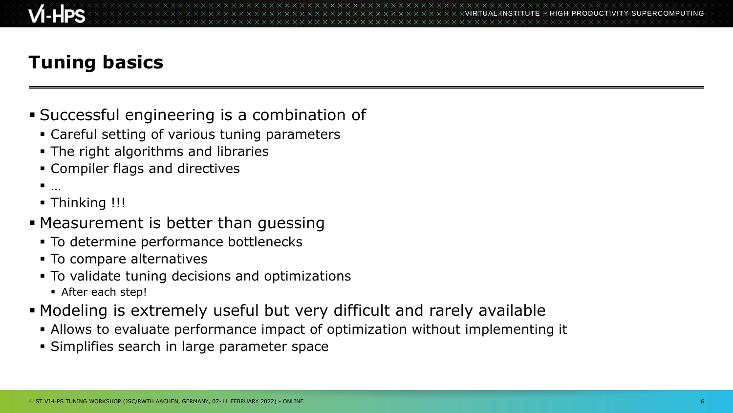# **Tuning basics**

- Successful engineering is a combination of
	- Careful setting of various tuning parameters
	- **The right algorithms and libraries**
	- Compiler flags and directives
	- $\blacksquare$
	- Thinking !!!
- **EXE** Measurement is better than guessing
	- To determine performance bottlenecks
	- **To compare alternatives**
	- To validate tuning decisions and optimizations
		- After each step!
- Modeling is extremely useful but very difficult and rarely available
	- **.** Allows to evaluate performance impact of optimization without implementing it
	- **EXA)** Simplifies search in large parameter space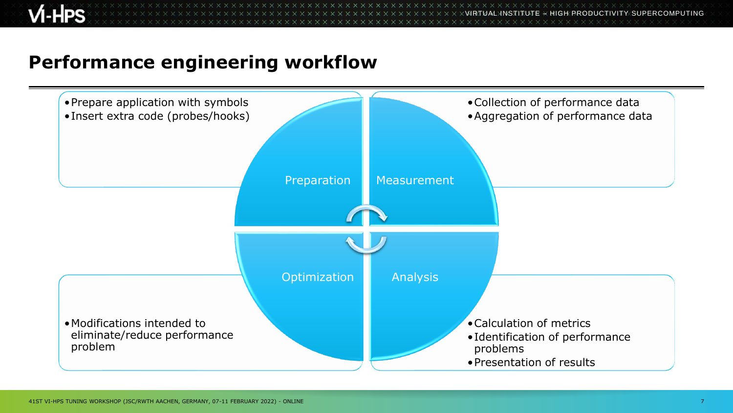**x x x x x x x x x x x x x** VIRTUAL INSTITUTE – HIGH PRODUCTIVITY SUPERCOMPUTING

#### **Performance engineering workflow**

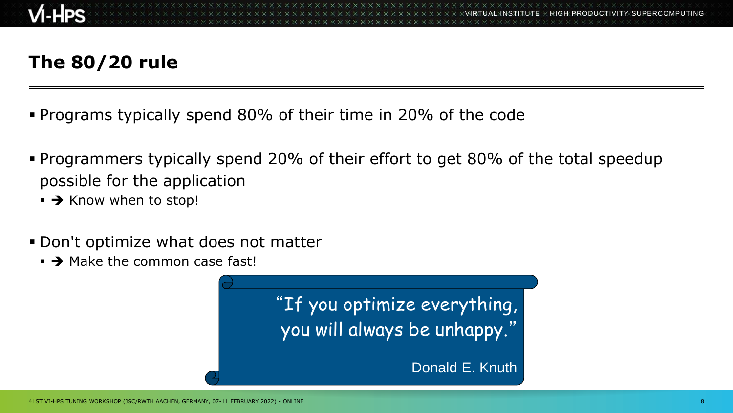# **The 80/20 rule**

- Programs typically spend 80% of their time in 20% of the code
- Programmers typically spend 20% of their effort to get 80% of the total speedup possible for the application
	- → Know when to stop!
- **.** Don't optimize what does not matter
	- $\rightarrow$  Make the common case fast!

"If you optimize everything, you will always be unhappy."

Donald E. Knuth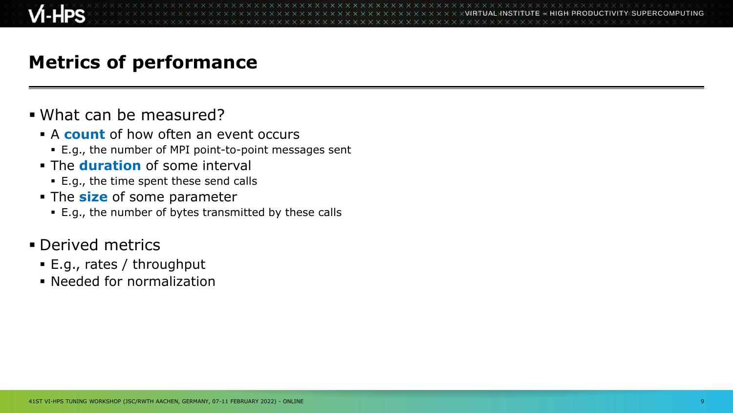### **Metrics of performance**

#### ▪ What can be measured?

- A **count** of how often an event occurs
	- E.g., the number of MPI point-to-point messages sent
- The **duration** of some interval
	- E.g., the time spent these send calls
- The **size** of some parameter
	- E.g., the number of bytes transmitted by these calls
- **Derived metrics** 
	- E.g., rates / throughput
	- Needed for normalization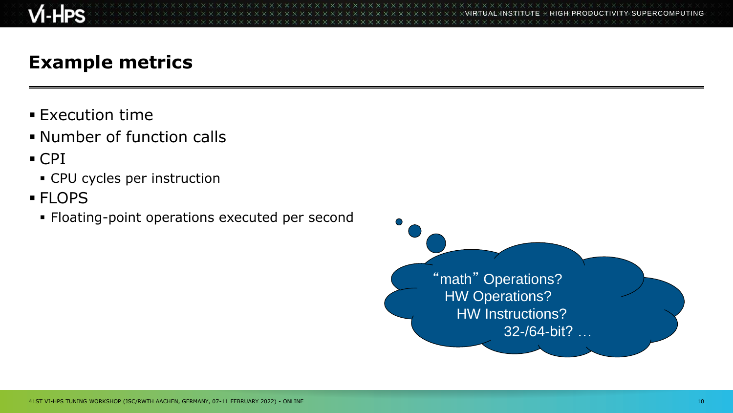

VIRTUAL INSTITUTE – HIGH PRODUCTIVITY SUPERCOMPUTING

### **Example metrics**

- **Execution time**
- **.** Number of function calls
- CPI
	- CPU cycles per instruction
- FLOPS
	- Floating-point operations executed per second

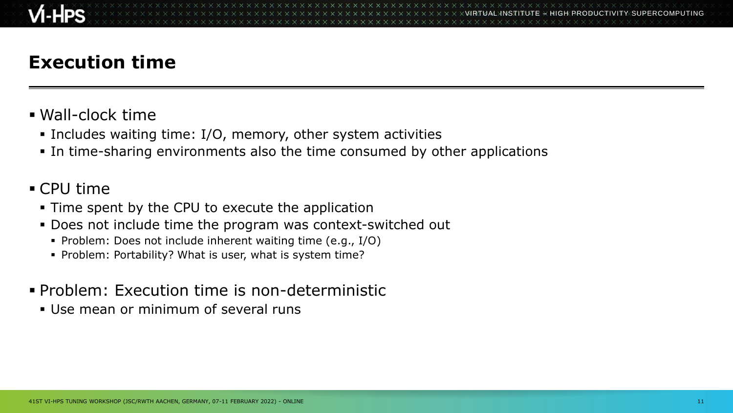## **Execution time**

- Wall-clock time
	- **.** Includes waiting time: I/O, memory, other system activities
	- **.** In time-sharing environments also the time consumed by other applications

#### ■ CPU time

- Time spent by the CPU to execute the application
- **.** Does not include time the program was context-switched out
	- Problem: Does not include inherent waiting time (e.g., I/O)
	- Problem: Portability? What is user, what is system time?
- Problem: Execution time is non-deterministic
	- Use mean or minimum of several runs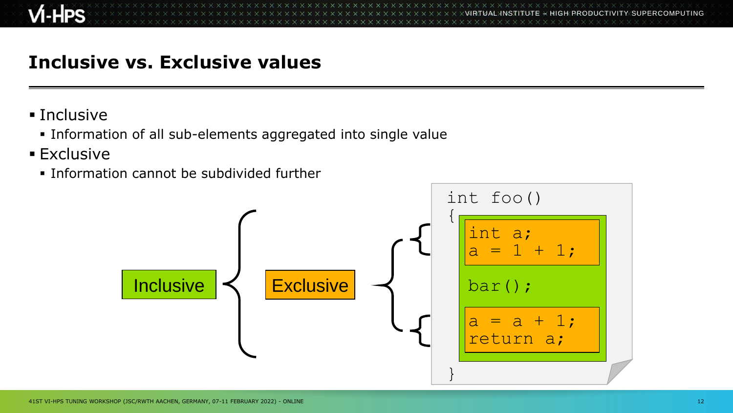### **Inclusive vs. Exclusive values**

- Inclusive
	- Information of all sub-elements aggregated into single value
- **Exclusive** 
	- **.** Information cannot be subdivided further

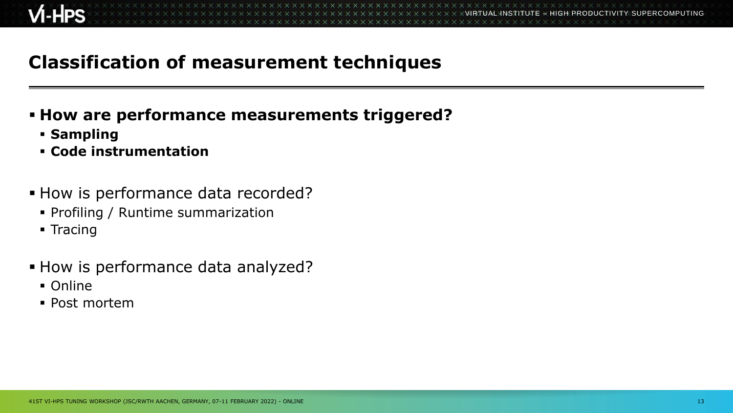## **Classification of measurement techniques**

#### ▪ **How are performance measurements triggered?**

- **Sampling**
- **Code instrumentation**
- **EXECT** How is performance data recorded?
	- Profiling / Runtime summarization
	- Tracing
- How is performance data analyzed?
	- Online
	- Post mortem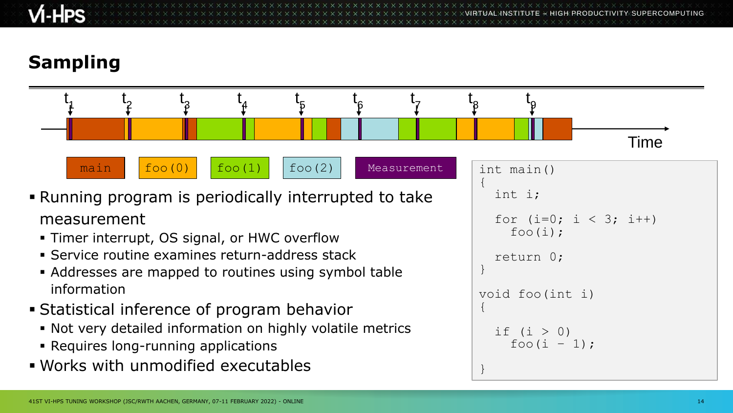$\times$   $\times$   $\times$   $\times$   $\times$  WRTUAL INSTITUTE

# **Sampling**

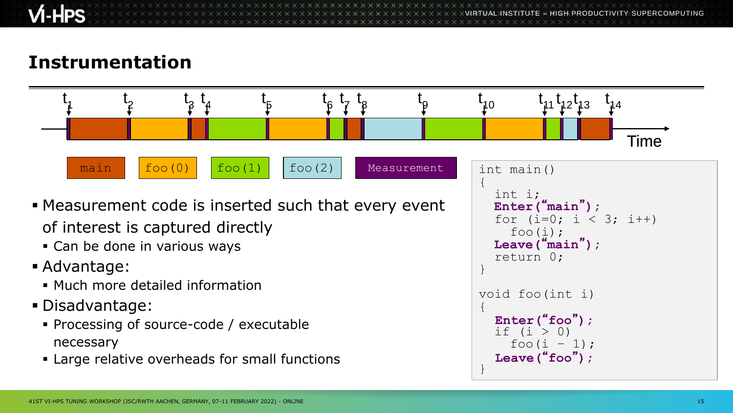VIRTUAL INSTITUTE – HIGH PRODUCTIVITY SUPERCOMPUTING

}

## **Instrumentation**



■ Large relative overheads for small functions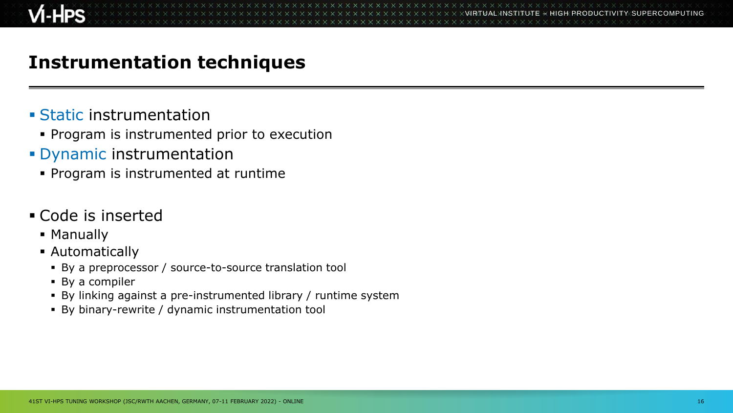### **Instrumentation techniques**

- **Example 1 Static instrumentation** 
	- **Program is instrumented prior to execution**
- **Dynamic instrumentation** 
	- Program is instrumented at runtime

#### ▪ Code is inserted

- Manually
- **E** Automatically
	- By a preprocessor / source-to-source translation tool
	- By a compiler
	- By linking against a pre-instrumented library / runtime system
	- By binary-rewrite / dynamic instrumentation tool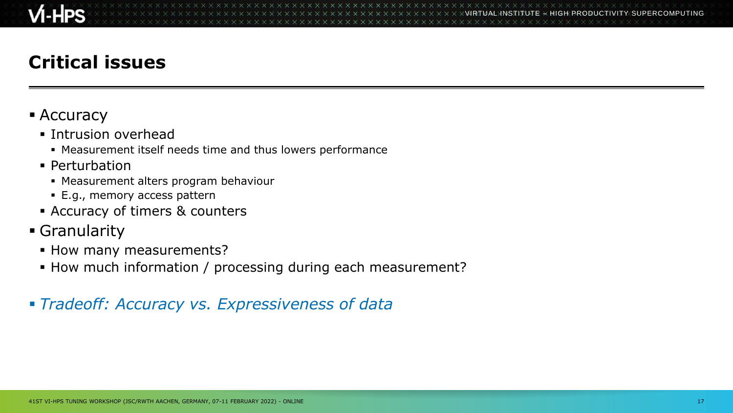# **Critical issues**

#### **E** Accuracy

- **· Intrusion overhead** 
	- **.** Measurement itself needs time and thus lowers performance
- Perturbation
	- Measurement alters program behaviour
	- E.g., memory access pattern
- Accuracy of timers & counters
- **Granularity** 
	- **.** How many measurements?
	- **.** How much information / processing during each measurement?

#### ▪ *Tradeoff: Accuracy vs. Expressiveness of data*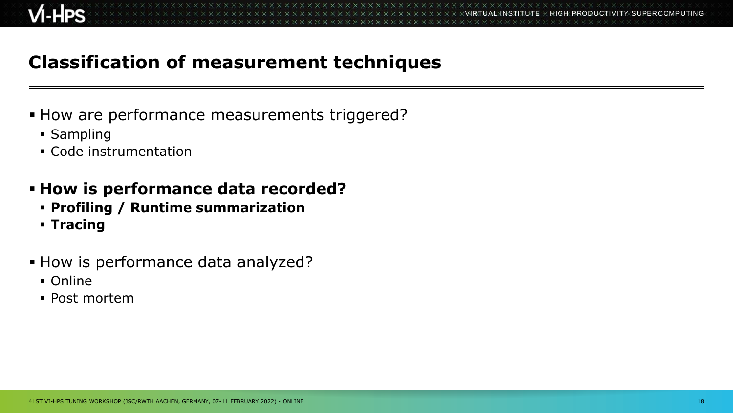## **Classification of measurement techniques**

- **EXA)** How are performance measurements triggered?
	- Sampling
	- Code instrumentation
- **How is performance data recorded?**
	- **Profiling / Runtime summarization**
	- **Tracing**
- **EXA)** How is performance data analyzed?
	- Online
	- Post mortem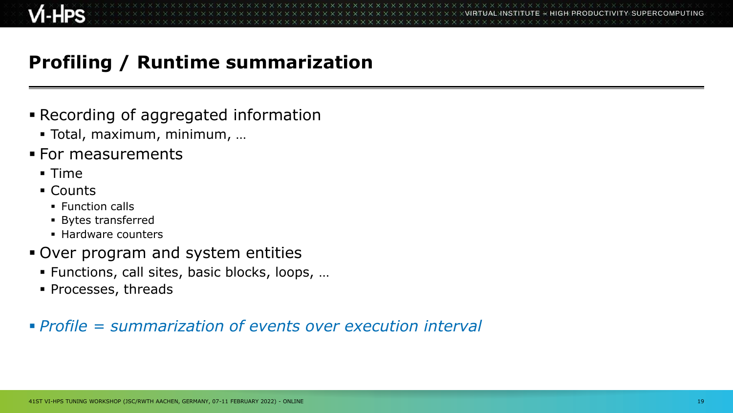# **Profiling / Runtime summarization**

- **Execording of aggregated information** 
	- Total, maximum, minimum, …
- For measurements
	- Time
	- Counts
		- Function calls
		- Bytes transferred
		- Hardware counters
- Over program and system entities
	- Functions, call sites, basic blocks, loops, …
	- Processes, threads

#### ▪ *Profile = summarization of events over execution interval*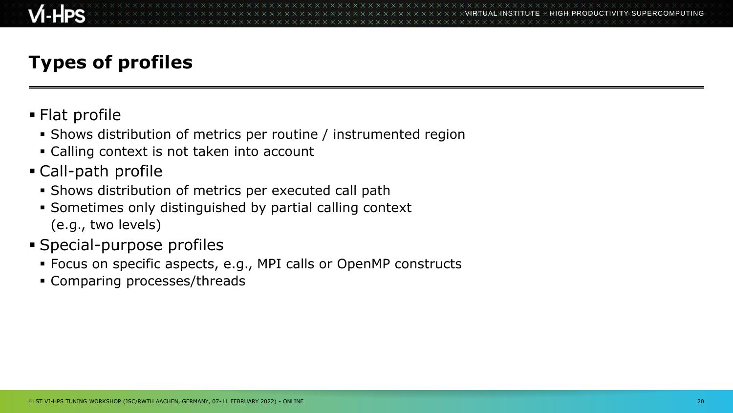## **Types of profiles**

- **E** Flat profile
	- Shows distribution of metrics per routine / instrumented region
	- Calling context is not taken into account
- Call-path profile
	- **.** Shows distribution of metrics per executed call path
	- Sometimes only distinguished by partial calling context (e.g., two levels)
- **Special-purpose profiles** 
	- Focus on specific aspects, e.g., MPI calls or OpenMP constructs
	- Comparing processes/threads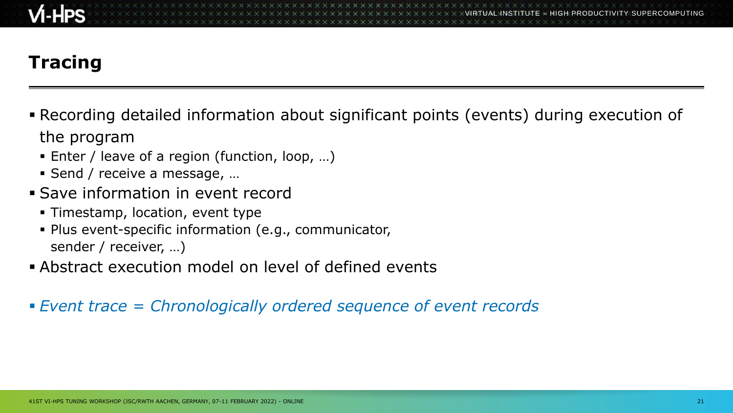# **Tracing**

- **Recording detailed information about significant points (events) during execution of** the program
	- Enter / leave of a region (function, loop, ...)
	- Send / receive a message, ...
- **Save information in event record** 
	- Timestamp, location, event type
	- Plus event-specific information (e.g., communicator, sender / receiver, …)
- **EXECT Abstract execution model on level of defined events**
- *Event trace = Chronologically ordered sequence of event records*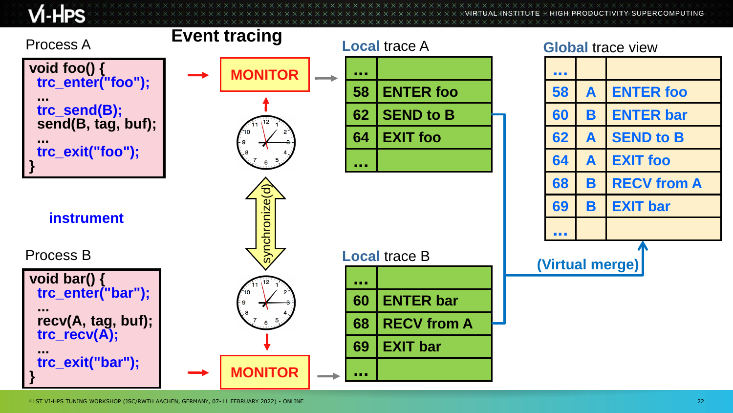$M$ -HPS

 $\times$ VIRTUAL $\times$ ITUTE  $\times$  HIGH PRODUCTIVITY SUPERCOMPUTING

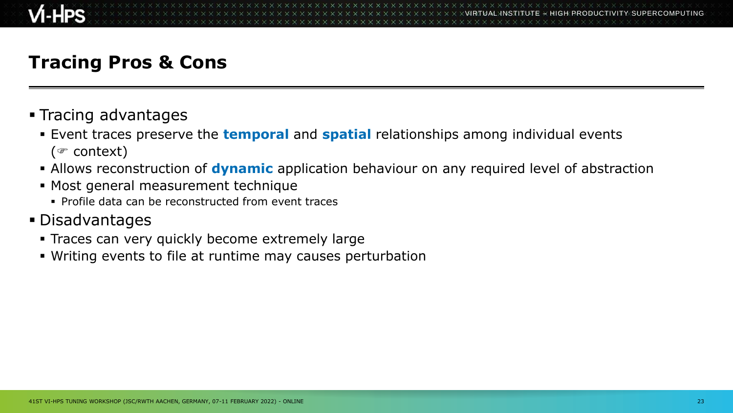### **Tracing Pros & Cons**

- Tracing advantages
	- **Example 1 Figure 1** Event traces preserve the **temporal** and **spatial** relationships among individual events ( $\in$  context)
	- **EXTED THE Allows reconstruction of dynamic** application behaviour on any required level of abstraction
	- Most general measurement technique
		- Profile data can be reconstructed from event traces
- Disadvantages
	- **EXECT:** Traces can very quickly become extremely large
	- Writing events to file at runtime may causes perturbation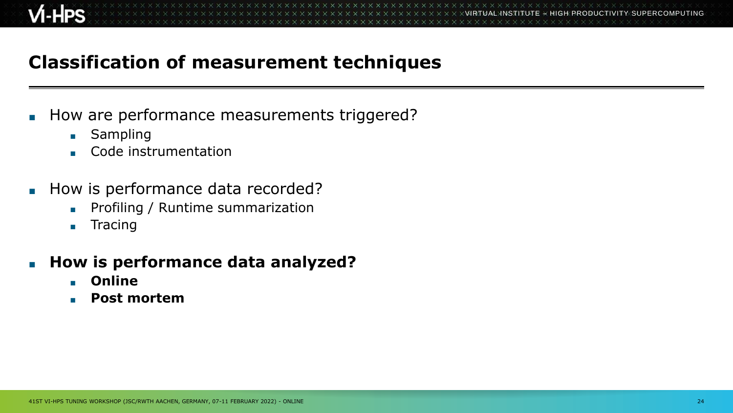## **Classification of measurement techniques**

- How are performance measurements triggered?
	- Sampling
	- Code instrumentation
- How is performance data recorded?
	- Profiling / Runtime summarization
	- Tracing
- **How is performance data analyzed?** 
	- **Online**
	- **Post mortem**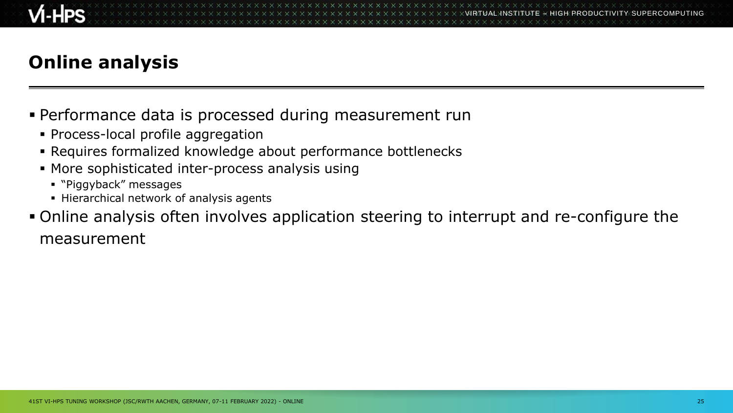## **Online analysis**

- Performance data is processed during measurement run
	- Process-local profile aggregation
	- Requires formalized knowledge about performance bottlenecks
	- **More sophisticated inter-process analysis using** 
		- "Piggyback" messages
		- **EXEC** Hierarchical network of analysis agents
- Online analysis often involves application steering to interrupt and re-configure the measurement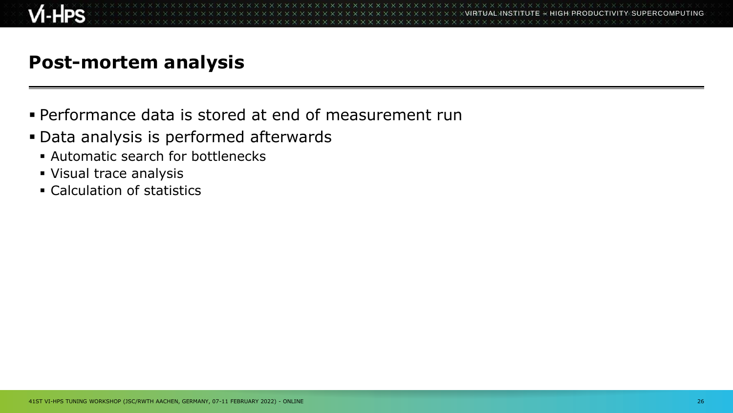

### **Post-mortem analysis**

- **.** Performance data is stored at end of measurement run
- Data analysis is performed afterwards
	- **EXEC** Automatic search for bottlenecks
	- Visual trace analysis
	- Calculation of statistics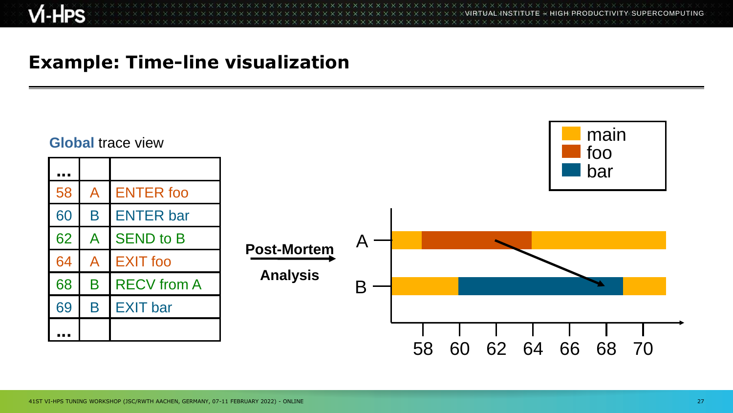VIRTUAL INSTITUTE – HIGH PRODUCTIVITY SUPERCOMPUTING 

### **Example: Time-line visualization**

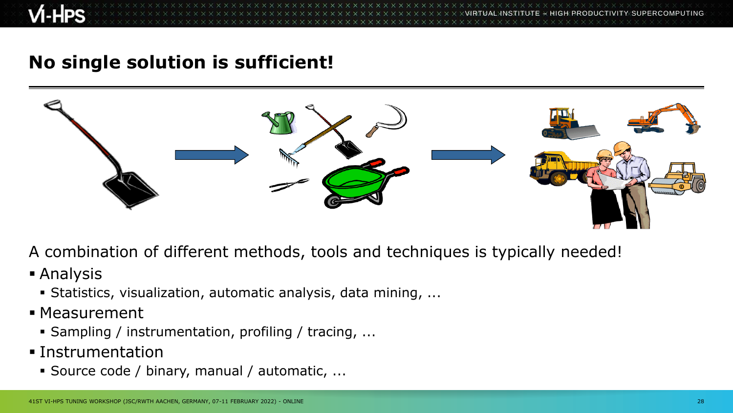VIRTUAL INSTITUTE – HIGH PRODUCTIVITY SUPERCOMPUTING

#### **No single solution is sufficient!**



A combination of different methods, tools and techniques is typically needed!

- Analysis
	- Statistics, visualization, automatic analysis, data mining, ...
- Measurement
	- Sampling / instrumentation, profiling / tracing, ...
- **Instrumentation** 
	- Source code / binary, manual / automatic, ...